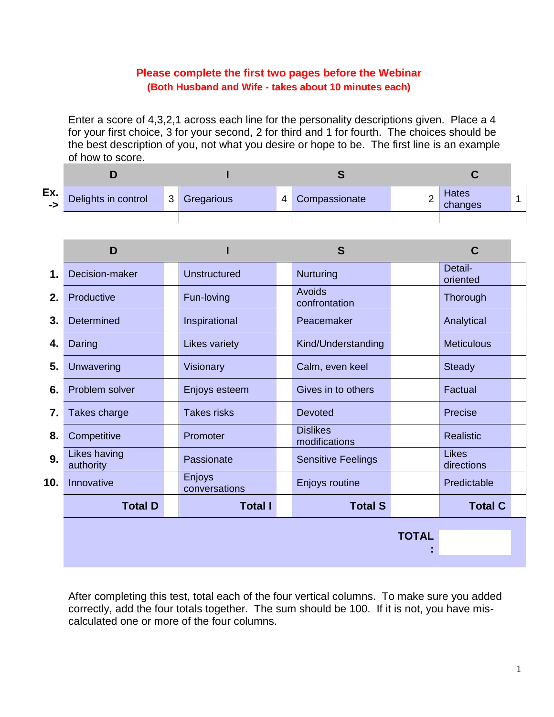### **Please complete the first two pages before the Webinar (Both Husband and Wife - takes about 10 minutes each)**

Enter a score of 4,3,2,1 across each line for the personality descriptions given. Place a 4 for your first choice, 3 for your second, 2 for third and 1 for fourth. The choices should be the best description of you, not what you desire or hope to be. The first line is an example of how to score.

| Ex.<br>$\rightarrow$ | Delights in control | $3^{\prime}$ | Gregarious | 4 | Compassionate | _ | Hates<br>changes |  |
|----------------------|---------------------|--------------|------------|---|---------------|---|------------------|--|
|                      |                     |              |            |   |               |   |                  |  |

|     | D                         |                         | S                                | C                          |
|-----|---------------------------|-------------------------|----------------------------------|----------------------------|
| 1.  | Decision-maker            | Unstructured            | Nurturing                        | Detail-<br>oriented        |
| 2.  | Productive                | Fun-loving              | <b>Avoids</b><br>confrontation   | Thorough                   |
| 3.  | <b>Determined</b>         | Inspirational           | Peacemaker                       | Analytical                 |
| 4.  | Daring                    | <b>Likes variety</b>    | Kind/Understanding               | <b>Meticulous</b>          |
| 5.  | Unwavering                | Visionary               | Calm, even keel                  | <b>Steady</b>              |
| 6.  | Problem solver            | Enjoys esteem           | Gives in to others               | Factual                    |
| 7.  | Takes charge              | <b>Takes risks</b>      | Devoted                          | Precise                    |
| 8.  | Competitive               | Promoter                | <b>Dislikes</b><br>modifications | <b>Realistic</b>           |
| 9.  | Likes having<br>authority | Passionate              | <b>Sensitive Feelings</b>        | <b>Likes</b><br>directions |
| 10. | Innovative                | Enjoys<br>conversations | Enjoys routine                   | Predictable                |
|     | <b>Total D</b>            | <b>Total I</b>          | <b>Total S</b>                   | <b>Total C</b>             |
|     |                           |                         |                                  | <b>TOTAL</b>               |
|     |                           |                         |                                  |                            |

After completing this test, total each of the four vertical columns. To make sure you added correctly, add the four totals together. The sum should be 100. If it is not, you have miscalculated one or more of the four columns.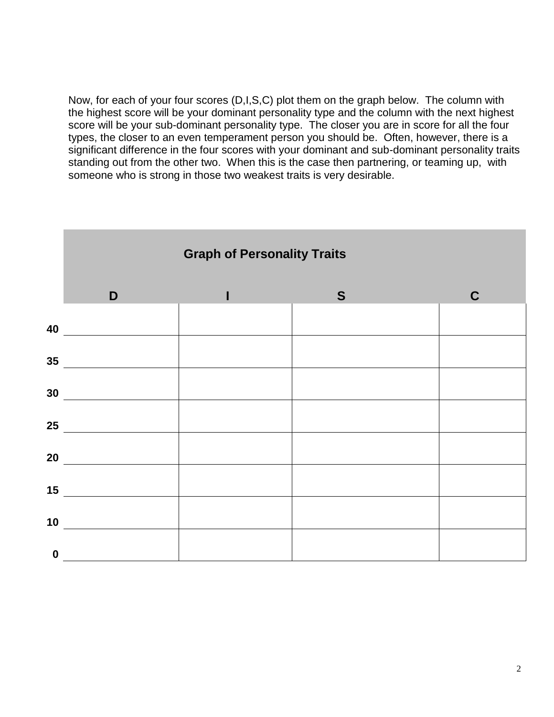Now, for each of your four scores (D,I,S,C) plot them on the graph below. The column with the highest score will be your dominant personality type and the column with the next highest score will be your sub-dominant personality type. The closer you are in score for all the four types, the closer to an even temperament person you should be. Often, however, there is a significant difference in the four scores with your dominant and sub-dominant personality traits standing out from the other two. When this is the case then partnering, or teaming up, with someone who is strong in those two weakest traits is very desirable.

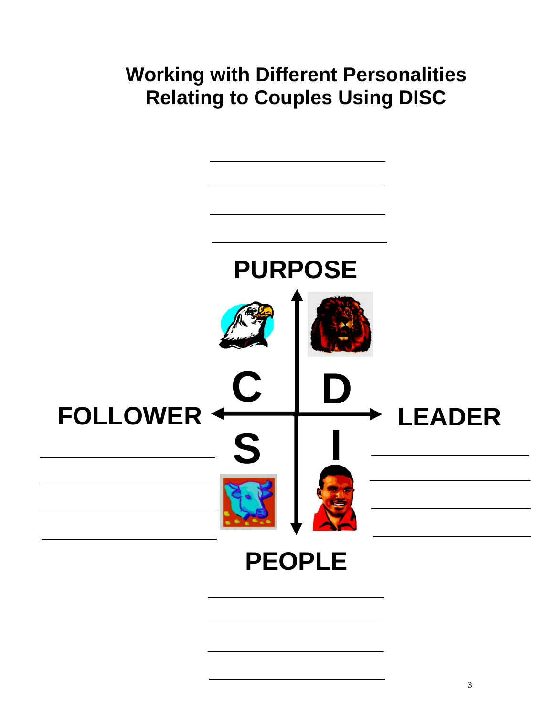# **Working with Different Personalities Relating to Couples Using DISC**

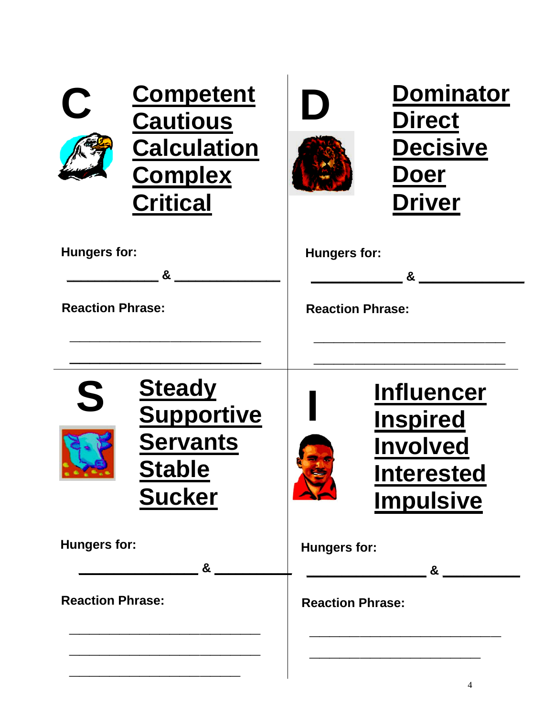| $\overline{C}$          | <b>Competent</b><br><b>Cautious</b><br><b>Calculation</b><br><b>Complex</b><br><b>Critical</b> | $\Box$                   | <b>Dominator</b><br><b>Direct</b><br><b>Decisive</b><br><b>Doer</b><br><b>Driver</b>             |  |
|-------------------------|------------------------------------------------------------------------------------------------|--------------------------|--------------------------------------------------------------------------------------------------|--|
| <b>Hungers for:</b>     | &                                                                                              | <b>Hungers for:</b><br>& |                                                                                                  |  |
| <b>Reaction Phrase:</b> |                                                                                                | <b>Reaction Phrase:</b>  |                                                                                                  |  |
|                         |                                                                                                |                          |                                                                                                  |  |
| S                       | <b>Steady</b><br><b>Supportive</b><br><b>Servants</b><br><b>Stable</b><br><b>Sucker</b>        |                          | <b>Influencer</b><br><b>Inspired</b><br><b>Involved</b><br><b>Interested</b><br><b>Impulsive</b> |  |
| Hungers for:            | &                                                                                              | Hungers for:<br>&        |                                                                                                  |  |
| <b>Reaction Phrase:</b> |                                                                                                | <b>Reaction Phrase:</b>  |                                                                                                  |  |
|                         |                                                                                                |                          |                                                                                                  |  |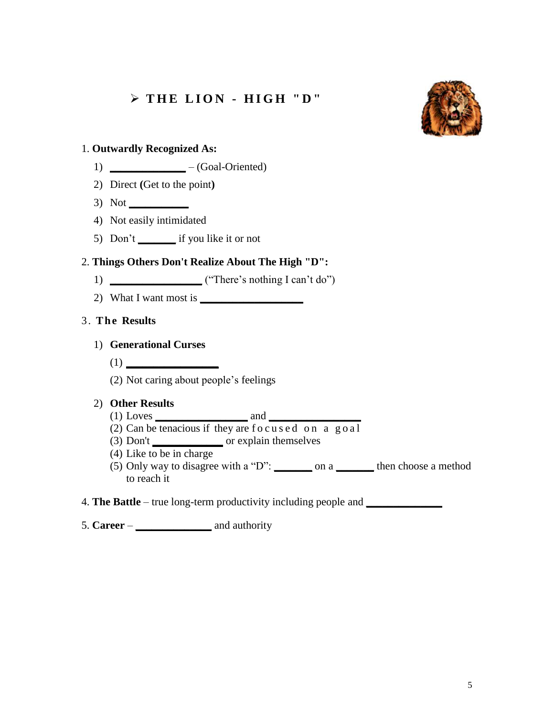## **T H E L I O N - H I G H " D "**



#### 1. **Outwardly Recognized As:**

- 1) **\_\_\_\_\_\_\_\_\_\_\_\_\_\_** (Goal-Oriented)
- 2) Direct **(**Get to the point**)**
- 3) Not **\_\_\_\_\_\_\_\_\_\_\_**
- 4) Not easily intimidated
- 5) Don't **\_\_\_\_\_\_\_** if you like it or not

#### 2. **Things Others Don't Realize About The High "D":**

- 1) **\_\_\_\_\_\_\_\_\_\_\_\_\_\_\_\_\_** ("There's nothing I can't do")
- 2) What I want most is **\_\_\_\_\_\_\_\_\_\_\_\_\_\_\_\_\_\_\_**

#### 3. **The Results**

#### 1) **Generational Curses**

- $(1)$   $\qquad \qquad$
- (2) Not caring about people's feelings

#### 2) **Other Results**

- (1) Loves **\_\_\_\_\_\_\_\_\_\_\_\_\_\_\_\_\_** and **\_\_\_\_\_\_\_\_\_\_\_\_\_\_\_\_\_**
- (2) Can be tenacious if they are focused on a goal
- (3) Don't **\_\_\_\_\_\_\_\_\_\_\_\_\_** or explain themselves
- (4) Like to be in charge
- (5) Only way to disagree with a "D": **\_\_\_\_\_\_\_** on a **\_\_\_\_\_\_\_** then choose a method to reach it
- 4. **The Battle** true long-term productivity including people and **\_\_\_\_\_\_\_\_\_\_\_\_\_\_**
- 5. **Career \_\_\_\_\_\_\_\_\_\_\_\_\_\_** and authority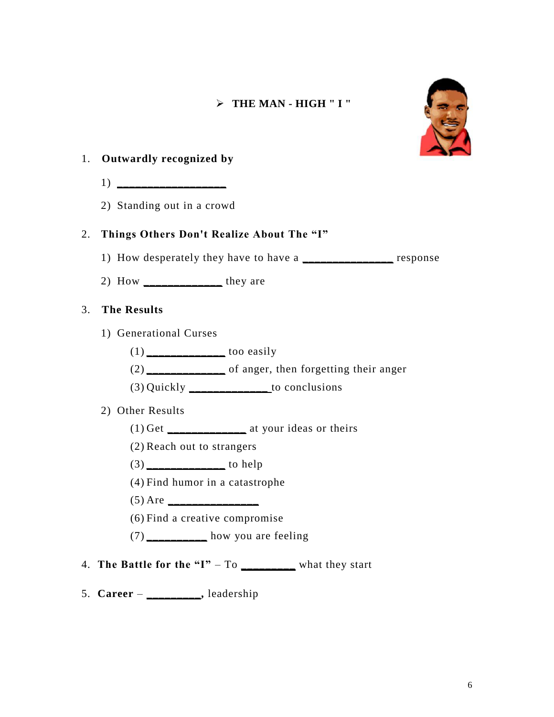#### **THE MAN - HIGH " I "**



#### 1. **Outwardly recognized by**

- 1) **\_\_\_\_\_\_\_\_\_\_\_\_\_\_\_\_\_\_**
- 2) Standing out in a crowd

#### 2. **Things Others Don't Realize About The "I"**

- 1) How desperately they have to have a **\_\_\_\_\_\_\_\_\_\_\_\_\_\_\_** response
- 2) How **\_\_\_\_\_\_\_\_\_\_\_\_\_** they are

#### 3. **The Results**

- 1) Generational Curses
	- (1) **\_\_\_\_\_\_\_\_\_\_\_\_\_** too easily
	- (2) **\_\_\_\_\_\_\_\_\_\_\_\_\_** of anger, then forgetting their anger
	- (3) Quickly **\_\_\_\_\_\_\_\_\_\_\_\_\_** to conclusions
- 2) Other Results
	- (1) Get **\_\_\_\_\_\_\_\_\_\_\_\_\_** at your ideas or theirs
	- (2) Reach out to strangers
	- (3) **\_\_\_\_\_\_\_\_\_\_\_\_\_** to help
	- (4) Find humor in a catastrophe
	- (5) Are **\_\_\_\_\_\_\_\_\_\_\_\_\_\_\_**
	- (6) Find a creative compromise
	- (7) **\_\_\_\_\_\_\_\_\_\_** how you are feeling
- 4. **The Battle for the "I"**  $-$  To  $\_\_\_\_\_\_\_\_\_\_\_\$ what they start
- 5. **Career \_\_\_\_\_\_\_\_\_,** leadership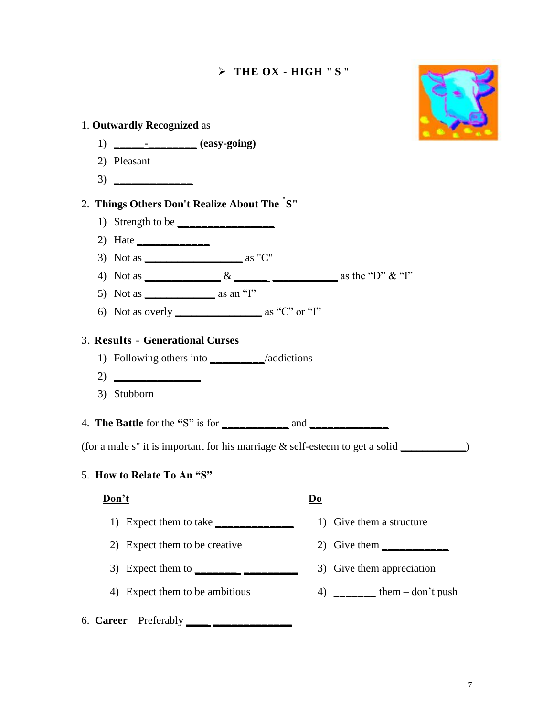# **THE OX - HIGH " S "**



| 1. Outwardly Recognized as                                                                                                                                                                                                                                                                                                                                                                                                              |                        |                                                                                       |
|-----------------------------------------------------------------------------------------------------------------------------------------------------------------------------------------------------------------------------------------------------------------------------------------------------------------------------------------------------------------------------------------------------------------------------------------|------------------------|---------------------------------------------------------------------------------------|
| $1)$ ______________ (easy-going)                                                                                                                                                                                                                                                                                                                                                                                                        |                        |                                                                                       |
| 2) Pleasant                                                                                                                                                                                                                                                                                                                                                                                                                             |                        |                                                                                       |
| 3)                                                                                                                                                                                                                                                                                                                                                                                                                                      |                        |                                                                                       |
| 2. Things Others Don't Realize About The "S"                                                                                                                                                                                                                                                                                                                                                                                            |                        |                                                                                       |
| 1) Strength to be                                                                                                                                                                                                                                                                                                                                                                                                                       |                        |                                                                                       |
| 2) Hate                                                                                                                                                                                                                                                                                                                                                                                                                                 |                        |                                                                                       |
| 3) Not as $\_\_\_\_\_\_\_\_\$ as "C"                                                                                                                                                                                                                                                                                                                                                                                                    |                        |                                                                                       |
|                                                                                                                                                                                                                                                                                                                                                                                                                                         |                        |                                                                                       |
| 5) Not as $\_\_\_\_\_\_\$ as an "I"                                                                                                                                                                                                                                                                                                                                                                                                     |                        |                                                                                       |
| 6) Not as overly $\frac{1}{2}$ as "C" or "I"                                                                                                                                                                                                                                                                                                                                                                                            |                        |                                                                                       |
| 2)<br>3) Stubborn                                                                                                                                                                                                                                                                                                                                                                                                                       |                        | (for a male s" it is important for his marriage $&$ self-esteem to get a solid $\_\_$ |
| 5. How to Relate To An "S"                                                                                                                                                                                                                                                                                                                                                                                                              |                        |                                                                                       |
| Don't                                                                                                                                                                                                                                                                                                                                                                                                                                   | $\mathbf{D}\mathbf{o}$ |                                                                                       |
| 1) Expect them to take                                                                                                                                                                                                                                                                                                                                                                                                                  |                        | 1) Give them a structure                                                              |
| 2) Expect them to be creative                                                                                                                                                                                                                                                                                                                                                                                                           |                        | 2) Give them                                                                          |
| 3) Expect them to $\frac{1}{\sqrt{1-\frac{1}{2}} \cdot \frac{1}{\sqrt{1-\frac{1}{2}} \cdot \frac{1}{\sqrt{1-\frac{1}{2}} \cdot \frac{1}{\sqrt{1-\frac{1}{2}} \cdot \frac{1}{\sqrt{1-\frac{1}{2}} \cdot \frac{1}{\sqrt{1-\frac{1}{2}} \cdot \frac{1}{\sqrt{1-\frac{1}{2}} \cdot \frac{1}{\sqrt{1-\frac{1}{2}} \cdot \frac{1}{\sqrt{1-\frac{1}{2}} \cdot \frac{1}{\sqrt{1-\frac{1}{2}} \cdot \frac{1}{\sqrt{1-\frac{1}{2}} \cdot \frac{1$ |                        | 3) Give them appreciation                                                             |
| 4) Expect them to be ambitious                                                                                                                                                                                                                                                                                                                                                                                                          |                        |                                                                                       |
|                                                                                                                                                                                                                                                                                                                                                                                                                                         |                        |                                                                                       |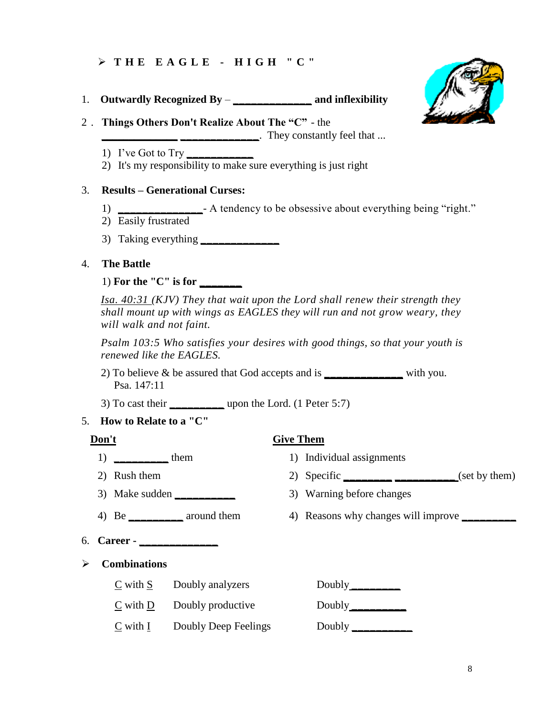#### **T H E E A G L E - H I G H " C "**

- 1. **Outwardly Recognized By \_\_\_\_\_\_\_\_\_\_\_\_\_ and inflexibility**
- 2 . **Things Others Don't Realize About The "C"** - the

**They constantly feel that ... \_\_\_\_\_\_\_\_\_\_\_\_\_\_**. They constantly feel that ...

- 1) I've Got to Try **\_\_\_\_\_\_\_\_\_\_\_**
- 2) It's my responsibility to make sure everything is just right

#### 3. **Results – Generational Curses:**

- 1) **\_\_\_\_\_\_\_\_\_\_\_\_\_\_** A tendency to be obsessive about everything being "right."
- 2) Easily frustrated
- 3) Taking everything **\_\_\_\_\_\_\_\_\_\_\_\_\_**

#### 4. **The Battle**

1) **For the "C" is for \_\_\_\_\_\_\_**

*Isa. 40:31 (KJV) They that wait upon the Lord shall renew their strength they shall mount up with wings as EAGLES they will run and not grow weary, they will walk and not faint.*

*Psalm 103:5 Who satisfies your desires with good things, so that your youth is renewed like the EAGLES.*

- 2) To believe & be assured that God accepts and is **\_\_\_\_\_\_\_\_\_\_\_\_\_** with you. Psa. 147:11
- 3) To cast their **\_\_\_\_\_\_\_\_\_** upon the Lord. (1 Peter 5:7)
- 5. **How to Relate to a "C"**

#### **Don't Give Them**

- 
- 
- 3) Make sudden **\_\_\_\_\_\_\_\_\_\_** 3) Warning before changes
- 
- 6. **Career - \_\_\_\_\_\_\_\_\_\_\_\_\_**
- **Combinations**
	- C with S Doubly analyzers Doubly **\_\_\_\_\_\_\_\_**
	- C with <u>D</u> Doubly productive Doubly \_\_\_\_\_\_\_\_\_
	- C with I Doubly Deep Feelings Doubly **\_\_\_\_\_\_\_\_\_**\_

- 1) **\_\_\_\_\_\_\_\_** them 1) Individual assignments
- 2) Rush them 2) Specific **\_\_\_\_\_\_ \_\_\_\_\_\_** (set by them)
	-
- 4) Be \_\_\_\_\_\_\_\_\_\_\_ around them 4) Reasons why changes will improve \_\_\_\_\_\_\_\_\_\_\_\_\_\_\_